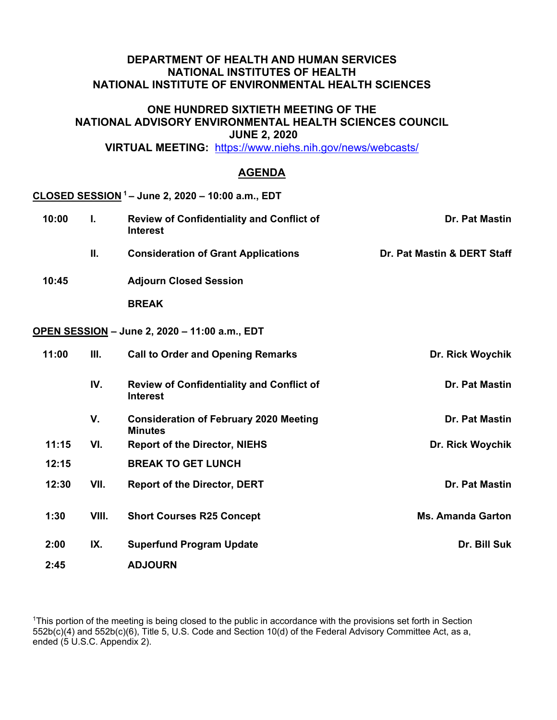# **DEPARTMENT OF HEALTH AND HUMAN SERVICES NATIONAL INSTITUTES OF HEALTH NATIONAL INSTITUTE OF ENVIRONMENTAL HEALTH SCIENCES**

### **ONE HUNDRED SIXTIETH MEETING OF THE NATIONAL ADVISORY ENVIRONMENTAL HEALTH SCIENCES COUNCIL JUNE 2, 2020**

 **VIRTUAL MEETING:** <https://www.niehs.nih.gov/news/webcasts/>

# **AGENDA**

## **CLOSED SESSION 1 – June 2, 2020 – 10:00 a.m., EDT**

| 10:00 | L.   | <b>Review of Confidentiality and Conflict of</b><br><b>Interest</b> | Dr. Pat Mastin              |
|-------|------|---------------------------------------------------------------------|-----------------------------|
|       | Ш.   | <b>Consideration of Grant Applications</b>                          | Dr. Pat Mastin & DERT Staff |
| 10:45 |      | <b>Adjourn Closed Session</b>                                       |                             |
|       |      | <b>BREAK</b>                                                        |                             |
|       |      | OPEN SESSION - June 2, 2020 - 11:00 a.m., EDT                       |                             |
| 11:00 | Ш.   | <b>Call to Order and Opening Remarks</b>                            | Dr. Rick Woychik            |
|       | IV.  | <b>Review of Confidentiality and Conflict of</b><br><b>Interest</b> | Dr. Pat Mastin              |
|       | V.   | <b>Consideration of February 2020 Meeting</b><br><b>Minutes</b>     | Dr. Pat Mastin              |
| 11:15 | VI.  | <b>Report of the Director, NIEHS</b>                                | Dr. Rick Woychik            |
| 12:15 |      | <b>BREAK TO GET LUNCH</b>                                           |                             |
| 12:30 | VII. | <b>Report of the Director, DERT</b>                                 | Dr. Pat Mastin              |

1:30 VIII. Short Courses R25 Concept **MS. Amanda Garton** 2:00 IX. Superfund Program Update **Dr. Bill Suk** Dr. Bill Suk **2:45 ADJOURN** 

<sup>1</sup>This portion of the meeting is being closed to the public in accordance with the provisions set forth in Section 552b(c)(4) and 552b(c)(6), Title 5, U.S. Code and Section 10(d) of the Federal Advisory Committee Act, as a, ended (5 U.S.C. Appendix 2).